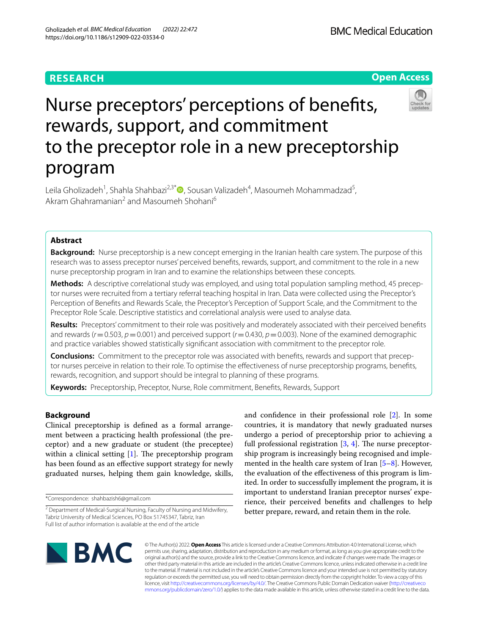# **RESEARCH**

**BMC Medical Education** 



# Nurse preceptors' perceptions of benefts, rewards, support, and commitment to the preceptor role in a new preceptorship program

Leila Gholizadeh<sup>1</sup>, Shahla Shahbazi<sup>2,3[\\*](https://orcid.org/0000-0002-4146-9425)</sup>®, Sousan Valizadeh<sup>4</sup>, Masoumeh Mohammadzad<sup>5</sup>, Akram Ghahramanian<sup>2</sup> and Masoumeh Shohani<sup>6</sup>

# **Abstract**

**Background:** Nurse preceptorship is a new concept emerging in the Iranian health care system. The purpose of this research was to assess preceptor nurses' perceived benefts, rewards, support, and commitment to the role in a new nurse preceptorship program in Iran and to examine the relationships between these concepts.

**Methods:** A descriptive correlational study was employed, and using total population sampling method, 45 precep‑ tor nurses were recruited from a tertiary referral teaching hospital in Iran. Data were collected using the Preceptor's Perception of Benefts and Rewards Scale, the Preceptor's Perception of Support Scale, and the Commitment to the Preceptor Role Scale. Descriptive statistics and correlational analysis were used to analyse data.

**Results:** Preceptors' commitment to their role was positively and moderately associated with their perceived benefts and rewards ( $r$ =0.503,  $p$ =0.001) and perceived support ( $r$ =0.430,  $p$ =0.003). None of the examined demographic and practice variables showed statistically signifcant association with commitment to the preceptor role.

**Conclusions:** Commitment to the preceptor role was associated with benefits, rewards and support that preceptor nurses perceive in relation to their role. To optimise the efectiveness of nurse preceptorship programs, benefts, rewards, recognition, and support should be integral to planning of these programs.

**Keywords:** Preceptorship, Preceptor, Nurse, Role commitment, Benefts, Rewards, Support

# **Background**

Clinical preceptorship is defned as a formal arrangement between a practicing health professional (the preceptor) and a new graduate or student (the preceptee) within a clinical setting  $[1]$  $[1]$ . The preceptorship program has been found as an efective support strategy for newly graduated nurses, helping them gain knowledge, skills,

\*Correspondence: shahbazish6@gmail.com

and confdence in their professional role [\[2](#page-7-1)]. In some countries, it is mandatory that newly graduated nurses undergo a period of preceptorship prior to achieving a full professional registration  $[3, 4]$  $[3, 4]$  $[3, 4]$ . The nurse preceptorship program is increasingly being recognised and implemented in the health care system of Iran  $[5-8]$  $[5-8]$ . However, the evaluation of the efectiveness of this program is limited. In order to successfully implement the program, it is important to understand Iranian preceptor nurses' experience, their perceived benefts and challenges to help better prepare, reward, and retain them in the role.



© The Author(s) 2022. **Open Access** This article is licensed under a Creative Commons Attribution 4.0 International License, which permits use, sharing, adaptation, distribution and reproduction in any medium or format, as long as you give appropriate credit to the original author(s) and the source, provide a link to the Creative Commons licence, and indicate if changes were made. The images or other third party material in this article are included in the article's Creative Commons licence, unless indicated otherwise in a credit line to the material. If material is not included in the article's Creative Commons licence and your intended use is not permitted by statutory regulation or exceeds the permitted use, you will need to obtain permission directly from the copyright holder. To view a copy of this licence, visit [http://creativecommons.org/licenses/by/4.0/.](http://creativecommons.org/licenses/by/4.0/) The Creative Commons Public Domain Dedication waiver ([http://creativeco](http://creativecommons.org/publicdomain/zero/1.0/) [mmons.org/publicdomain/zero/1.0/](http://creativecommons.org/publicdomain/zero/1.0/)) applies to the data made available in this article, unless otherwise stated in a credit line to the data.

<sup>&</sup>lt;sup>2</sup> Department of Medical-Surgical Nursing, Faculty of Nursing and Midwifery, Tabriz University of Medical Sciences, PO Box 51745347, Tabriz, Iran Full list of author information is available at the end of the article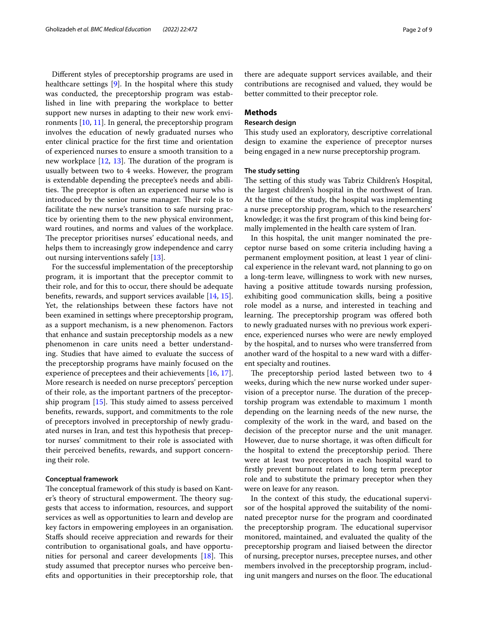Diferent styles of preceptorship programs are used in healthcare settings [\[9](#page-8-1)]. In the hospital where this study was conducted, the preceptorship program was established in line with preparing the workplace to better support new nurses in adapting to their new work environments [[10,](#page-8-2) [11](#page-8-3)]. In general, the preceptorship program involves the education of newly graduated nurses who enter clinical practice for the frst time and orientation of experienced nurses to ensure a smooth transition to a new workplace  $[12, 13]$  $[12, 13]$  $[12, 13]$  $[12, 13]$ . The duration of the program is usually between two to 4 weeks. However, the program is extendable depending the preceptee's needs and abilities. The preceptor is often an experienced nurse who is introduced by the senior nurse manager. Their role is to facilitate the new nurse's transition to safe nursing practice by orienting them to the new physical environment, ward routines, and norms and values of the workplace. The preceptor prioritises nurses' educational needs, and helps them to increasingly grow independence and carry out nursing interventions safely [[13\]](#page-8-5).

For the successful implementation of the preceptorship program, it is important that the preceptor commit to their role, and for this to occur, there should be adequate benefts, rewards, and support services available [[14](#page-8-6), [15](#page-8-7)]. Yet, the relationships between these factors have not been examined in settings where preceptorship program, as a support mechanism, is a new phenomenon. Factors that enhance and sustain preceptorship models as a new phenomenon in care units need a better understanding. Studies that have aimed to evaluate the success of the preceptorship programs have mainly focused on the experience of preceptees and their achievements [[16,](#page-8-8) [17](#page-8-9)]. More research is needed on nurse preceptors' perception of their role, as the important partners of the preceptorship program  $[15]$  $[15]$ . This study aimed to assess perceived benefts, rewards, support, and commitments to the role of preceptors involved in preceptorship of newly graduated nurses in Iran, and test this hypothesis that preceptor nurses' commitment to their role is associated with their perceived benefts, rewards, and support concerning their role.

# **Conceptual framework**

The conceptual framework of this study is based on Kanter's theory of structural empowerment. The theory suggests that access to information, resources, and support services as well as opportunities to learn and develop are key factors in empowering employees in an organisation. Stafs should receive appreciation and rewards for their contribution to organisational goals, and have opportunities for personal and career developments  $[18]$  $[18]$ . This study assumed that preceptor nurses who perceive benefts and opportunities in their preceptorship role, that

there are adequate support services available, and their contributions are recognised and valued, they would be better committed to their preceptor role.

# **Methods**

# **Research design**

This study used an exploratory, descriptive correlational design to examine the experience of preceptor nurses being engaged in a new nurse preceptorship program.

# **The study setting**

The setting of this study was Tabriz Children's Hospital, the largest children's hospital in the northwest of Iran. At the time of the study, the hospital was implementing a nurse preceptorship program, which to the researchers' knowledge; it was the frst program of this kind being formally implemented in the health care system of Iran.

In this hospital, the unit manger nominated the preceptor nurse based on some criteria including having a permanent employment position, at least 1 year of clinical experience in the relevant ward, not planning to go on a long-term leave, willingness to work with new nurses, having a positive attitude towards nursing profession, exhibiting good communication skills, being a positive role model as a nurse, and interested in teaching and learning. The preceptorship program was offered both to newly graduated nurses with no previous work experience, experienced nurses who were are newly employed by the hospital, and to nurses who were transferred from another ward of the hospital to a new ward with a diferent specialty and routines.

The preceptorship period lasted between two to  $4$ weeks, during which the new nurse worked under supervision of a preceptor nurse. The duration of the preceptorship program was extendable to maximum 1 month depending on the learning needs of the new nurse, the complexity of the work in the ward, and based on the decision of the preceptor nurse and the unit manager. However, due to nurse shortage, it was often difficult for the hospital to extend the preceptorship period. There were at least two preceptors in each hospital ward to frstly prevent burnout related to long term preceptor role and to substitute the primary preceptor when they were on leave for any reason.

In the context of this study, the educational supervisor of the hospital approved the suitability of the nominated preceptor nurse for the program and coordinated the preceptorship program. The educational supervisor monitored, maintained, and evaluated the quality of the preceptorship program and liaised between the director of nursing, preceptor nurses, preceptee nurses, and other members involved in the preceptorship program, including unit mangers and nurses on the floor. The educational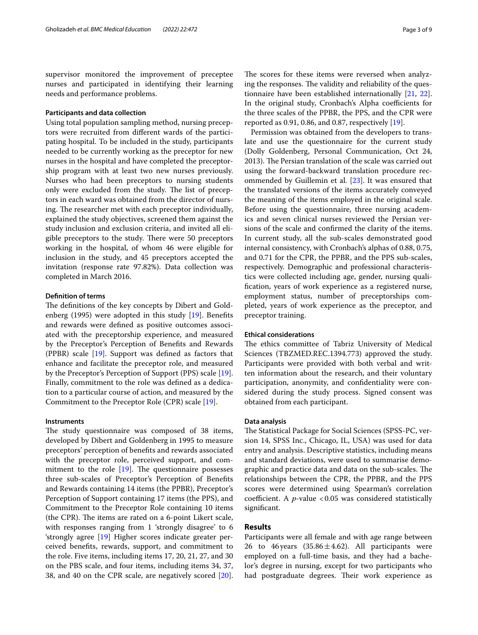supervisor monitored the improvement of preceptee nurses and participated in identifying their learning needs and performance problems.

# **Participants and data collection**

Using total population sampling method, nursing preceptors were recruited from diferent wards of the participating hospital. To be included in the study, participants needed to be currently working as the preceptor for new nurses in the hospital and have completed the preceptorship program with at least two new nurses previously. Nurses who had been preceptors to nursing students only were excluded from the study. The list of preceptors in each ward was obtained from the director of nursing. The researcher met with each preceptor individually, explained the study objectives, screened them against the study inclusion and exclusion criteria, and invited all eligible preceptors to the study. There were 50 preceptors working in the hospital, of whom 46 were eligible for inclusion in the study, and 45 preceptors accepted the invitation (response rate 97.82%). Data collection was completed in March 2016.

# **Defnition of terms**

The definitions of the key concepts by Dibert and Goldenberg (1995) were adopted in this study [\[19](#page-8-11)]. Benefts and rewards were defned as positive outcomes associated with the preceptorship experience, and measured by the Preceptor's Perception of Benefts and Rewards (PPBR) scale [[19\]](#page-8-11). Support was defned as factors that enhance and facilitate the preceptor role, and measured by the Preceptor's Perception of Support (PPS) scale [\[19](#page-8-11)]. Finally, commitment to the role was defned as a dedication to a particular course of action, and measured by the Commitment to the Preceptor Role (CPR) scale [\[19\]](#page-8-11).

# **Instruments**

The study questionnaire was composed of 38 items, developed by Dibert and Goldenberg in 1995 to measure preceptors' perception of benefts and rewards associated with the preceptor role, perceived support, and commitment to the role  $[19]$ . The questionnaire possesses three sub-scales of Preceptor's Perception of Benefts and Rewards containing 14 items (the PPBR), Preceptor's Perception of Support containing 17 items (the PPS), and Commitment to the Preceptor Role containing 10 items (the CPR). The items are rated on a  $6$ -point Likert scale, with responses ranging from 1 'strongly disagree' to 6 'strongly agree [[19\]](#page-8-11) Higher scores indicate greater perceived benefts, rewards, support, and commitment to the role. Five items, including items 17, 20, 21, 27, and 30 on the PBS scale, and four items, including items 34, 37, 38, and 40 on the CPR scale, are negatively scored [\[20](#page-8-12)].

The scores for these items were reversed when analyzing the responses. The validity and reliability of the questionnaire have been established internationally [[21](#page-8-13), [22](#page-8-14)]. In the original study, Cronbach's Alpha coefficients for the three scales of the PPBR, the PPS, and the CPR were reported as  $0.91$ ,  $0.86$ , and  $0.87$ , respectively  $[19]$  $[19]$ .

Permission was obtained from the developers to translate and use the questionnaire for the current study (Dolly Goldenberg, Personal Communication, Oct 24, 2013). The Persian translation of the scale was carried out using the forward-backward translation procedure recommended by Guillemin et al. [\[23](#page-8-15)]. It was ensured that the translated versions of the items accurately conveyed the meaning of the items employed in the original scale. Before using the questionnaire, three nursing academics and seven clinical nurses reviewed the Persian versions of the scale and confrmed the clarity of the items. In current study, all the sub-scales demonstrated good internal consistency, with Cronbach's alphas of 0.88, 0.75, and 0.71 for the CPR, the PPBR, and the PPS sub-scales, respectively. Demographic and professional characteristics were collected including age, gender, nursing qualifcation, years of work experience as a registered nurse, employment status, number of preceptorships completed, years of work experience as the preceptor, and preceptor training.

# **Ethical considerations**

The ethics committee of Tabriz University of Medical Sciences (TBZMED.REC.1394.773) approved the study. Participants were provided with both verbal and written information about the research, and their voluntary participation, anonymity, and confdentiality were considered during the study process. Signed consent was obtained from each participant.

# **Data analysis**

The Statistical Package for Social Sciences (SPSS-PC, version 14, SPSS Inc., Chicago, IL, USA) was used for data entry and analysis. Descriptive statistics, including means and standard deviations, were used to summarise demographic and practice data and data on the sub-scales. The relationships between the CPR, the PPBR, and the PPS scores were determined using Spearman's correlation coefficient. A  $p$ -value <0.05 was considered statistically signifcant.

# **Results**

Participants were all female and with age range between 26 to 46 years  $(35.86 \pm 4.62)$ . All participants were employed on a full-time basis, and they had a bachelor's degree in nursing, except for two participants who had postgraduate degrees. Their work experience as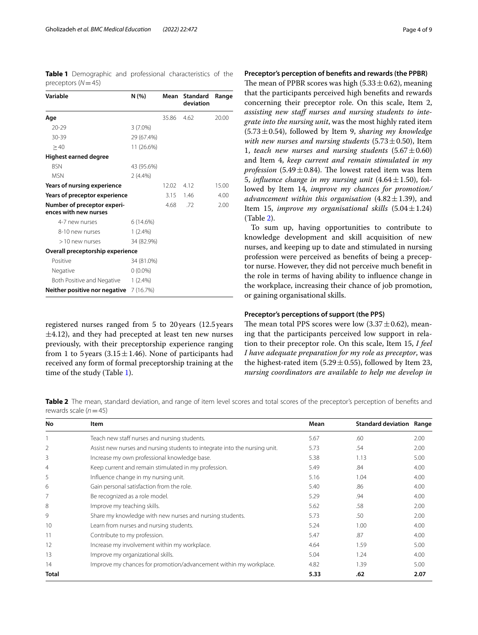<span id="page-3-0"></span>**Table 1** Demographic and professional characteristics of the preceptors (*N*=45)

| Variable                                             | N (%)      | Mean  | <b>Standard</b><br>deviation | Range |
|------------------------------------------------------|------------|-------|------------------------------|-------|
| Age                                                  |            | 35.86 | 4.62                         | 20.00 |
| $20 - 29$                                            | $3(7.0\%)$ |       |                              |       |
| $30 - 39$                                            | 29 (67.4%) |       |                              |       |
| >40                                                  | 11 (26.6%) |       |                              |       |
| Highest earned degree                                |            |       |                              |       |
| <b>BSN</b>                                           | 43 (95.6%) |       |                              |       |
| <b>MSN</b>                                           | $2(4.4\%)$ |       |                              |       |
| Years of nursing experience                          |            | 12.02 | 4.12                         | 15.00 |
| Years of preceptor experience                        |            | 3.15  | 1.46                         | 4.00  |
| Number of preceptor experi-<br>ences with new nurses |            | 4.68  | .72                          | 2.00  |
| 4-7 new nurses                                       | 6(14.6%)   |       |                              |       |
| 8-10 new nurses                                      | $1(2.4\%)$ |       |                              |       |
| >10 new nurses                                       | 34 (82.9%) |       |                              |       |
| Overall preceptorship experience                     |            |       |                              |       |
| Positive                                             | 34 (81.0%) |       |                              |       |
| Negative                                             | $0(0.0\%)$ |       |                              |       |
| Both Positive and Negative                           | $1(2.4\%)$ |       |                              |       |
| Neither positive nor negative                        | 7 (16.7%)  |       |                              |       |

registered nurses ranged from 5 to 20years (12.5years  $\pm$ 4.12), and they had precepted at least ten new nurses previously, with their preceptorship experience ranging from 1 to 5 years (3.15 $\pm$ 1.46). None of participants had received any form of formal preceptorship training at the time of the study (Table [1](#page-3-0)).

# **Preceptor's perception of benefts and rewards (the PPBR)**

The mean of PPBR scores was high (5.33 $\pm$ 0.62), meaning that the participants perceived high benefts and rewards concerning their preceptor role. On this scale, Item 2, assisting new staff nurses and nursing students to inte*grate into the nursing unit*, was the most highly rated item  $(5.73 \pm 0.54)$ , followed by Item 9, *sharing my knowledge with new nurses and nursing students* (5.73 $\pm$ 0.50), Item 1, *teach new nurses and nursing students*  $(5.67 \pm 0.60)$ and Item 4, *keep current and remain stimulated in my profession* (5.49 $\pm$ 0.84). The lowest rated item was Item 5, *influence change in my nursing unit*  $(4.64 \pm 1.50)$ , followed by Item 14, *improve my chances for promotion/ advancement within this organisation*  $(4.82 \pm 1.39)$ , and Item 15, *improve my organisational skills* (5.04±1.24) (Table [2\)](#page-3-1).

To sum up, having opportunities to contribute to knowledge development and skill acquisition of new nurses, and keeping up to date and stimulated in nursing profession were perceived as benefts of being a preceptor nurse. However, they did not perceive much beneft in the role in terms of having ability to infuence change in the workplace, increasing their chance of job promotion, or gaining organisational skills.

# **Preceptor's perceptions of support (the PPS)**

The mean total PPS scores were low  $(3.37 \pm 0.62)$ , meaning that the participants perceived low support in relation to their preceptor role. On this scale, Item 15, *I feel I have adequate preparation for my role as preceptor*, was the highest-rated item (5.29 $\pm$ 0.55), followed by Item 23, *nursing coordinators are available to help me develop in* 

<span id="page-3-1"></span>**Table 2** The mean, standard deviation, and range of item level scores and total scores of the preceptor's perception of benefits and rewards scale (*n*=45)

| No             | Item                                                                       | Mean | <b>Standard deviation Range</b> |      |
|----------------|----------------------------------------------------------------------------|------|---------------------------------|------|
|                | Teach new staff nurses and nursing students.                               | 5.67 | .60                             | 2.00 |
| 2              | Assist new nurses and nursing students to integrate into the nursing unit. | 5.73 | .54                             | 2.00 |
| 3              | Increase my own professional knowledge base.                               | 5.38 | 1.13                            | 5.00 |
| $\overline{4}$ | Keep current and remain stimulated in my profession.                       | 5.49 | .84                             | 4.00 |
| 5              | Influence change in my nursing unit.                                       | 5.16 | 1.04                            | 4.00 |
| 6              | Gain personal satisfaction from the role.                                  | 5.40 | .86                             | 4.00 |
|                | Be recognized as a role model.                                             | 5.29 | .94                             | 4.00 |
| 8              | Improve my teaching skills.                                                | 5.62 | .58                             | 2.00 |
| 9              | Share my knowledge with new nurses and nursing students.                   | 5.73 | .50                             | 2.00 |
| 10             | Learn from nurses and nursing students.                                    | 5.24 | 1.00                            | 4.00 |
| 11             | Contribute to my profession.                                               | 5.47 | .87                             | 4.00 |
| 12             | Increase my involvement within my workplace.                               | 4.64 | 1.59                            | 5.00 |
| 13             | Improve my organizational skills.                                          | 5.04 | 1.24                            | 4.00 |
| 14             | Improve my chances for promotion/advancement within my workplace.          | 4.82 | 1.39                            | 5.00 |
| Total          |                                                                            | 5.33 | .62                             | 2.07 |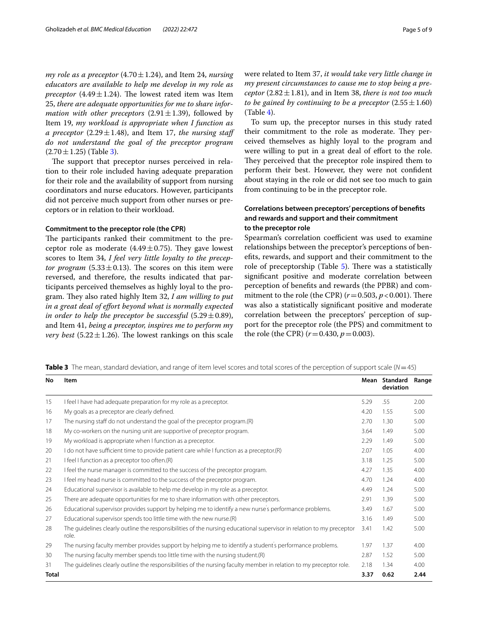*my role as a preceptor* (4.70  $\pm$  1.24), and Item 24, *nursing educators are available to help me develop in my role as preceptor* (4.49 $\pm$ 1.24). The lowest rated item was Item 25, *there are adequate opportunities for me to share information with other preceptors*  $(2.91 \pm 1.39)$ , followed by Item 19, *my workload is appropriate when I function as a preceptor* (2.29 $\pm$ 1.48), and Item 17, *the nursing staff do not understand the goal of the preceptor program*  $(2.70 \pm 1.25)$  (Table [3](#page-4-0)).

The support that preceptor nurses perceived in relation to their role included having adequate preparation for their role and the availability of support from nursing coordinators and nurse educators. However, participants did not perceive much support from other nurses or preceptors or in relation to their workload.

# **Commitment to the preceptor role (the CPR)**

The participants ranked their commitment to the preceptor role as moderate  $(4.49 \pm 0.75)$ . They gave lowest scores to Item 34, *I feel very little loyalty to the preceptor program* (5.33 $\pm$ 0.13). The scores on this item were reversed, and therefore, the results indicated that participants perceived themselves as highly loyal to the program. They also rated highly Item 32, I am willing to put *in a great deal of efort beyond what is normally expected in order to help the preceptor be successful*  $(5.29 \pm 0.89)$ , and Item 41, *being a preceptor, inspires me to perform my very best* (5.22 $\pm$ 1.26). The lowest rankings on this scale were related to Item 37, *it would take very little change in my present circumstances to cause me to stop being a preceptor*  $(2.82 \pm 1.81)$ , and in Item 38, *there is not too much to be gained by continuing to be a preceptor*  $(2.55 \pm 1.60)$  $(Table 4)$  $(Table 4)$ .

To sum up, the preceptor nurses in this study rated their commitment to the role as moderate. They perceived themselves as highly loyal to the program and were willing to put in a great deal of effort to the role. They perceived that the preceptor role inspired them to perform their best. However, they were not confdent about staying in the role or did not see too much to gain from continuing to be in the preceptor role.

# **Correlations between preceptors' perceptions of benefts and rewards and support and their commitment to the preceptor role**

Spearman's correlation coefficient was used to examine relationships between the preceptor's perceptions of benefts, rewards, and support and their commitment to the role of preceptorship (Table  $5$ ). There was a statistically signifcant positive and moderate correlation between perception of benefts and rewards (the PPBR) and commitment to the role (the CPR)  $(r=0.503, p<0.001)$ . There was also a statistically signifcant positive and moderate correlation between the preceptors' perception of support for the preceptor role (the PPS) and commitment to the role (the CPR)  $(r=0.430, p=0.003)$ .

<span id="page-4-0"></span>**Table 3** The mean, standard deviation, and range of item level scores and total scores of the perception of support scale (*N*=45)

| No           | Item                                                                                                                           | Mean | Standard<br>deviation | Range |
|--------------|--------------------------------------------------------------------------------------------------------------------------------|------|-----------------------|-------|
| 15           | I feel I have had adequate preparation for my role as a preceptor.                                                             | 5.29 | .55                   | 2.00  |
| 16           | My goals as a preceptor are clearly defined.                                                                                   | 4.20 | 1.55                  | 5.00  |
| 17           | The nursing staff do not understand the goal of the preceptor program.(R)                                                      | 2.70 | 1.30                  | 5.00  |
| 18           | My co-workers on the nursing unit are supportive of preceptor program.                                                         | 3.64 | 1.49                  | 5.00  |
| 19           | My workload is appropriate when I function as a preceptor.                                                                     | 2.29 | 1.49                  | 5.00  |
| 20           | I do not have sufficient time to provide patient care while I function as a preceptor.(R)                                      | 2.07 | 1.05                  | 4.00  |
| 21           | I feel I function as a preceptor too often.(R)                                                                                 | 3.18 | 1.25                  | 5.00  |
| 22           | I feel the nurse manager is committed to the success of the preceptor program.                                                 | 4.27 | 1.35                  | 4.00  |
| 23           | I feel my head nurse is committed to the success of the preceptor program.                                                     | 4.70 | 1.24                  | 4.00  |
| 24           | Educational supervisor is available to help me develop in my role as a preceptor.                                              | 4.49 | 1.24                  | 5.00  |
| 25           | There are adequate opportunities for me to share information with other preceptors.                                            | 2.91 | 1.39                  | 5.00  |
| 26           | Educational supervisor provides support by helping me to identify a new nurse's performance problems.                          | 3.49 | 1.67                  | 5.00  |
| 27           | Educational supervisor spends too little time with the new nurse.(R)                                                           | 3.16 | 1.49                  | 5.00  |
| 28           | The quidelines clearly outline the responsibilities of the nursing educational supervisor in relation to my preceptor<br>role. | 3.41 | 1.42                  | 5.00  |
| 29           | The nursing faculty member provides support by helping me to identify a student's performance problems.                        | 1.97 | 1.37                  | 4.00  |
| 30           | The nursing faculty member spends too little time with the nursing student.(R)                                                 | 2.87 | 1.52                  | 5.00  |
| 31           | The quidelines clearly outline the responsibilities of the nursing faculty member in relation to my preceptor role.            | 2.18 | 1.34                  | 4.00  |
| <b>Total</b> |                                                                                                                                | 3.37 | 0.62                  | 2.44  |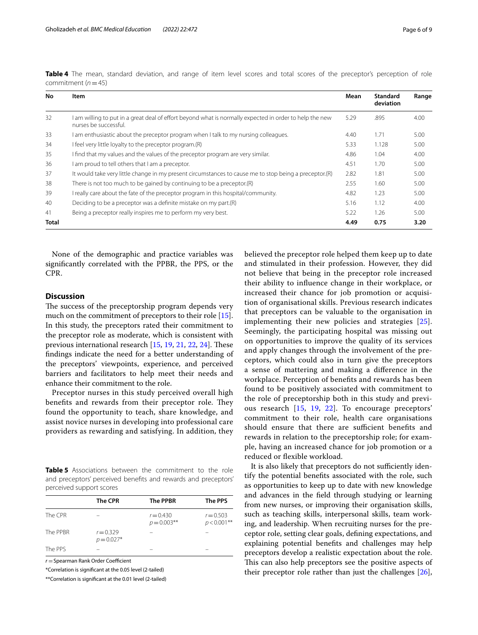| No           | Item                                                                                                                             | Mean | <b>Standard</b><br>deviation | Range |
|--------------|----------------------------------------------------------------------------------------------------------------------------------|------|------------------------------|-------|
| 32           | I am willing to put in a great deal of effort beyond what is normally expected in order to help the new<br>nurses be successful. | 5.29 | .895                         | 4.00  |
| 33           | I am enthusiastic about the preceptor program when I talk to my nursing colleagues.                                              | 4.40 | 1.71                         | 5.00  |
| 34           | I feel very little loyalty to the preceptor program.(R)                                                                          | 5.33 | 1.128                        | 5.00  |
| 35           | I find that my values and the values of the preceptor program are very similar.                                                  | 4.86 | 1.04                         | 4.00  |
| 36           | I am proud to tell others that I am a preceptor.                                                                                 | 4.51 | 1.70                         | 5.00  |
| 37           | It would take very little change in my present circumstances to cause me to stop being a preceptor.(R)                           | 2.82 | 1.81                         | 5.00  |
| 38           | There is not too much to be gained by continuing to be a preceptor.(R)                                                           | 2.55 | 1.60                         | 5.00  |
| 39           | I really care about the fate of the preceptor program in this hospital/community.                                                | 4.82 | 1.23                         | 5.00  |
| 40           | Deciding to be a preceptor was a definite mistake on my part.(R)                                                                 | 5.16 | 1.12                         | 4.00  |
| 41           | Being a preceptor really inspires me to perform my very best.                                                                    | 5.22 | 1.26                         | 5.00  |
| <b>Total</b> |                                                                                                                                  | 4.49 | 0.75                         | 3.20  |

<span id="page-5-0"></span>**Table 4** The mean, standard deviation, and range of item level scores and total scores of the preceptor's perception of role commitment (*n*=45)

None of the demographic and practice variables was signifcantly correlated with the PPBR, the PPS, or the CPR.

# **Discussion**

The success of the preceptorship program depends very much on the commitment of preceptors to their role [\[15](#page-8-7)]. In this study, the preceptors rated their commitment to the preceptor role as moderate, which is consistent with previous international research [\[15](#page-8-7), [19,](#page-8-11) [21](#page-8-13), [22](#page-8-14), [24\]](#page-8-16). These fndings indicate the need for a better understanding of the preceptors' viewpoints, experience, and perceived barriers and facilitators to help meet their needs and enhance their commitment to the role.

Preceptor nurses in this study perceived overall high benefits and rewards from their preceptor role. They found the opportunity to teach, share knowledge, and assist novice nurses in developing into professional care providers as rewarding and satisfying. In addition, they

<span id="page-5-1"></span>**Table 5** Associations between the commitment to the role and preceptors' perceived benefts and rewards and preceptors' perceived support scores

|          | <b>The CPR</b>              | <b>The PPBR</b>               | The PPS                       |
|----------|-----------------------------|-------------------------------|-------------------------------|
| The CPR  |                             | $r = 0.430$<br>$p = 0.003$ ** | $r = 0.503$<br>$p < 0.001$ ** |
| The PPBR | $r = 0.329$<br>$p = 0.027*$ |                               |                               |
| The PPS  |                             |                               |                               |

 $r =$ Spearman Rank Order Coefficient

\*Correlation is signifcant at the 0.05 level (2-tailed)

\*\*Correlation is signifcant at the 0.01 level (2-tailed)

believed the preceptor role helped them keep up to date and stimulated in their profession. However, they did not believe that being in the preceptor role increased their ability to infuence change in their workplace, or increased their chance for job promotion or acquisition of organisational skills. Previous research indicates that preceptors can be valuable to the organisation in implementing their new policies and strategies [[25](#page-8-17)]. Seemingly, the participating hospital was missing out on opportunities to improve the quality of its services and apply changes through the involvement of the preceptors, which could also in turn give the preceptors a sense of mattering and making a diference in the workplace. Perception of benefts and rewards has been found to be positively associated with commitment to the role of preceptorship both in this study and previous research [\[15](#page-8-7), [19](#page-8-11), [22](#page-8-14)]. To encourage preceptors' commitment to their role, health care organisations should ensure that there are sufficient benefits and rewards in relation to the preceptorship role; for example, having an increased chance for job promotion or a reduced or flexible workload.

It is also likely that preceptors do not sufficiently identify the potential benefts associated with the role, such as opportunities to keep up to date with new knowledge and advances in the feld through studying or learning from new nurses, or improving their organisation skills, such as teaching skills, interpersonal skills, team working, and leadership. When recruiting nurses for the preceptor role, setting clear goals, defning expectations, and explaining potential benefts and challenges may help preceptors develop a realistic expectation about the role. This can also help preceptors see the positive aspects of their preceptor role rather than just the challenges [\[26](#page-8-18)],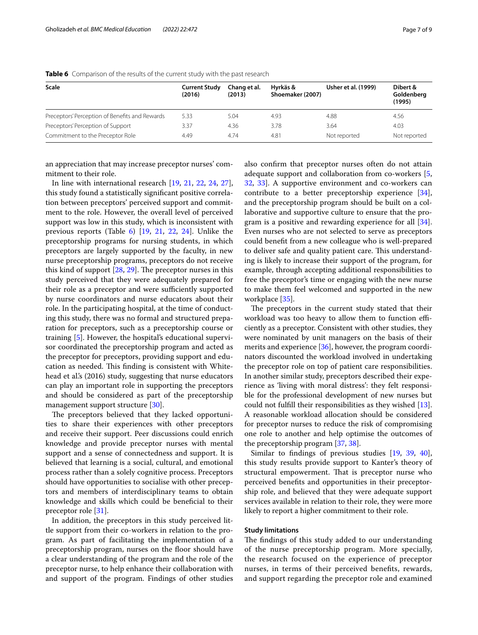| Scale                                          | <b>Current Study</b><br>(2016) | Chang et al.<br>(2013) | Hvrkäs &<br>Shoemaker (2007) | Usher et al. (1999) | Dibert &<br>Goldenberg<br>(1995) |
|------------------------------------------------|--------------------------------|------------------------|------------------------------|---------------------|----------------------------------|
| Preceptors' Perception of Benefits and Rewards | 5.33                           | 5.04                   | 4.93                         | 4.88                | 4.56                             |
| Preceptors' Perception of Support              | 3.37                           | 4.36                   | 3.78                         | 3.64                | 4.03                             |
| Commitment to the Preceptor Role               | 4.49                           | 4.74                   | 4.81                         | Not reported        | Not reported                     |

<span id="page-6-0"></span>**Table 6** Comparison of the results of the current study with the past research

an appreciation that may increase preceptor nurses' commitment to their role.

In line with international research [[19,](#page-8-11) [21](#page-8-13), [22](#page-8-14), [24,](#page-8-16) [27](#page-8-19)], this study found a statistically signifcant positive correlation between preceptors' perceived support and commitment to the role. However, the overall level of perceived support was low in this study, which is inconsistent with previous reports (Table  $6$ ) [[19](#page-8-11), [21,](#page-8-13) [22,](#page-8-14) [24](#page-8-16)]. Unlike the preceptorship programs for nursing students, in which preceptors are largely supported by the faculty, in new nurse preceptorship programs, preceptors do not receive this kind of support  $[28, 29]$  $[28, 29]$  $[28, 29]$ . The preceptor nurses in this study perceived that they were adequately prepared for their role as a preceptor and were sufficiently supported by nurse coordinators and nurse educators about their role. In the participating hospital, at the time of conducting this study, there was no formal and structured preparation for preceptors, such as a preceptorship course or training [\[5](#page-7-4)]. However, the hospital's educational supervisor coordinated the preceptorship program and acted as the preceptor for preceptors, providing support and education as needed. This finding is consistent with Whitehead et al.'s (2016) study, suggesting that nurse educators can play an important role in supporting the preceptors and should be considered as part of the preceptorship management support structure [\[30](#page-8-22)].

The preceptors believed that they lacked opportunities to share their experiences with other preceptors and receive their support. Peer discussions could enrich knowledge and provide preceptor nurses with mental support and a sense of connectedness and support. It is believed that learning is a social, cultural, and emotional process rather than a solely cognitive process. Preceptors should have opportunities to socialise with other preceptors and members of interdisciplinary teams to obtain knowledge and skills which could be benefcial to their preceptor role [\[31\]](#page-8-23).

In addition, the preceptors in this study perceived little support from their co-workers in relation to the program. As part of facilitating the implementation of a preceptorship program, nurses on the floor should have a clear understanding of the program and the role of the preceptor nurse, to help enhance their collaboration with and support of the program. Findings of other studies also confrm that preceptor nurses often do not attain adequate support and collaboration from co-workers [\[5](#page-7-4), [32,](#page-8-24) [33\]](#page-8-25). A supportive environment and co-workers can contribute to a better preceptorship experience [\[34](#page-8-26)], and the preceptorship program should be built on a collaborative and supportive culture to ensure that the program is a positive and rewarding experience for all [\[34](#page-8-26)]. Even nurses who are not selected to serve as preceptors could beneft from a new colleague who is well-prepared to deliver safe and quality patient care. This understanding is likely to increase their support of the program, for example, through accepting additional responsibilities to free the preceptor's time or engaging with the new nurse to make them feel welcomed and supported in the new workplace [\[35\]](#page-8-27).

The preceptors in the current study stated that their workload was too heavy to allow them to function efficiently as a preceptor. Consistent with other studies, they were nominated by unit managers on the basis of their merits and experience [[36\]](#page-8-28), however, the program coordinators discounted the workload involved in undertaking the preceptor role on top of patient care responsibilities. In another similar study, preceptors described their experience as 'living with moral distress': they felt responsible for the professional development of new nurses but could not fulfll their responsibilities as they wished [\[13](#page-8-5)]. A reasonable workload allocation should be considered for preceptor nurses to reduce the risk of compromising one role to another and help optimise the outcomes of the preceptorship program [\[37,](#page-8-29) [38](#page-8-30)].

Similar to fndings of previous studies [[19,](#page-8-11) [39,](#page-8-31) [40](#page-8-32)], this study results provide support to Kanter's theory of structural empowerment. That is preceptor nurse who perceived benefts and opportunities in their preceptorship role, and believed that they were adequate support services available in relation to their role, they were more likely to report a higher commitment to their role.

# **Study limitations**

The findings of this study added to our understanding of the nurse preceptorship program. More specially, the research focused on the experience of preceptor nurses, in terms of their perceived benefts, rewards, and support regarding the preceptor role and examined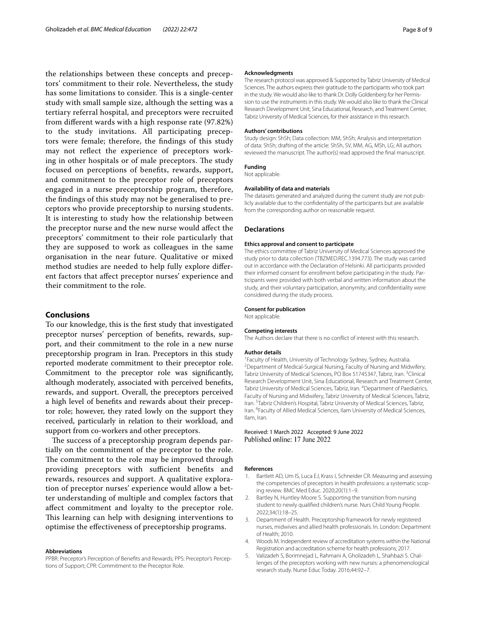the relationships between these concepts and preceptors' commitment to their role. Nevertheless, the study has some limitations to consider. This is a single-center study with small sample size, although the setting was a tertiary referral hospital, and preceptors were recruited from diferent wards with a high response rate (97.82%) to the study invitations. All participating preceptors were female; therefore, the fndings of this study may not refect the experience of preceptors working in other hospitals or of male preceptors. The study focused on perceptions of benefts, rewards, support, and commitment to the preceptor role of preceptors engaged in a nurse preceptorship program, therefore, the fndings of this study may not be generalised to preceptors who provide preceptorship to nursing students. It is interesting to study how the relationship between the preceptor nurse and the new nurse would afect the preceptors' commitment to their role particularly that they are supposed to work as colleagues in the same organisation in the near future. Qualitative or mixed method studies are needed to help fully explore diferent factors that afect preceptor nurses' experience and their commitment to the role.

# **Conclusions**

To our knowledge, this is the frst study that investigated preceptor nurses' perception of benefts, rewards, support, and their commitment to the role in a new nurse preceptorship program in Iran. Preceptors in this study reported moderate commitment to their preceptor role. Commitment to the preceptor role was signifcantly, although moderately, associated with perceived benefts, rewards, and support. Overall, the preceptors perceived a high level of benefts and rewards about their preceptor role; however, they rated lowly on the support they received, particularly in relation to their workload, and support from co-workers and other preceptors.

The success of a preceptorship program depends partially on the commitment of the preceptor to the role. The commitment to the role may be improved through providing preceptors with sufficient benefits and rewards, resources and support. A qualitative exploration of preceptor nurses' experience would allow a better understanding of multiple and complex factors that afect commitment and loyalty to the preceptor role. This learning can help with designing interventions to optimise the efectiveness of preceptorship programs.

#### **Abbreviations**

PPBR: Preceptor's Perception of Benefits and Rewards; PPS: Preceptor's Perceptions of Support; CPR: Commitment to the Preceptor Role.

#### **Acknowledgments**

The research protocol was approved & Supported by Tabriz University of Medical Sciences. The authors express their gratitude to the participants who took part in the study. We would also like to thank Dr. Dolly Goldenberg for her Permission to use the instruments in this study. We would also like to thank the Clinical Research Development Unit, Sina Educational, Research, and Treatment Center, Tabriz University of Medical Sciences, for their assistance in this research.

#### **Authors' contributions**

Study design: ShSh; Data collection: MM, ShSh; Analysis and interpretation of data: ShSh; drafting of the article: ShSh, SV, MM, AG, MSh, LG; All authors reviewed the manuscript. The author(s) read approved the fnal manuscript.

# **Funding**

Not applicable.

#### **Availability of data and materials**

The datasets generated and analyzed during the current study are not publicly available due to the confdentiality of the participants but are available from the corresponding author on reasonable request.

# **Declarations**

#### **Ethics approval and consent to participate**

The ethics committee of Tabriz University of Medical Sciences approved the study prior to data collection (TBZMED.REC.1394.773). The study was carried out in accordance with the Declaration of Helsinki. All participants provided their informed consent for enrollment before participating in the study. Participants were provided with both verbal and written information about the study, and their voluntary participation, anonymity, and confdentiality were considered during the study process.

### **Consent for publication**

Not applicable.

#### **Competing interests**

The Authors declare that there is no confict of interest with this research.

#### **Author details**

<sup>1</sup> Faculty of Health, University of Technology Sydney, Sydney, Australia.<br><sup>2</sup> Department of Medical Surgical Nursing. Faculty of Nursing and Midv <sup>2</sup> Department of Medical-Surgical Nursing, Faculty of Nursing and Midwifery, Tabriz University of Medical Sciences, PO Box 51745347, Tabriz, Iran. <sup>3</sup>Clinical Research Development Unit, Sina Educational, Research and Treatment Center, Tabriz University of Medical Sciences, Tabriz, Iran. <sup>4</sup> Department of Paediatrics, Faculty of Nursing and Midwifery, Tabriz University of Medical Sciences, Tabriz, Iran. <sup>5</sup> Tabriz Children's Hospital, Tabriz University of Medical Sciences, Tabriz, Iran. <sup>6</sup> Faculty of Allied Medical Sciences, Ilam University of Medical Sciences, Ilam, Iran.

Received: 1 March 2022 Accepted: 9 June 2022 Published online: 17 June 2022

#### **References**

- <span id="page-7-0"></span>1. Bartlett AD, Um IS, Luca EJ, Krass I, Schneider CR. Measuring and assessing the competencies of preceptors in health professions: a systematic scoping review. BMC Med Educ. 2020;20(1):1–9.
- <span id="page-7-1"></span>2. Bartley N, Huntley-Moore S. Supporting the transition from nursing student to newly qualifed children's nurse. Nurs Child Young People. 2022;34(1):18–25.
- <span id="page-7-2"></span>3. Department of Health. Preceptorship framework for newly registered nurses, midwives and allied health professionals. In. London: Department of Health; 2010.
- <span id="page-7-3"></span>4. Woods M. Independent review of accreditation systems within the National Registration and accreditation scheme for health professions; 2017.
- <span id="page-7-4"></span>5. Valizadeh S, Borimnejad L, Rahmani A, Gholizadeh L, Shahbazi S. Challenges of the preceptors working with new nurses: a phenomenological research study. Nurse Educ Today. 2016;44:92–7.